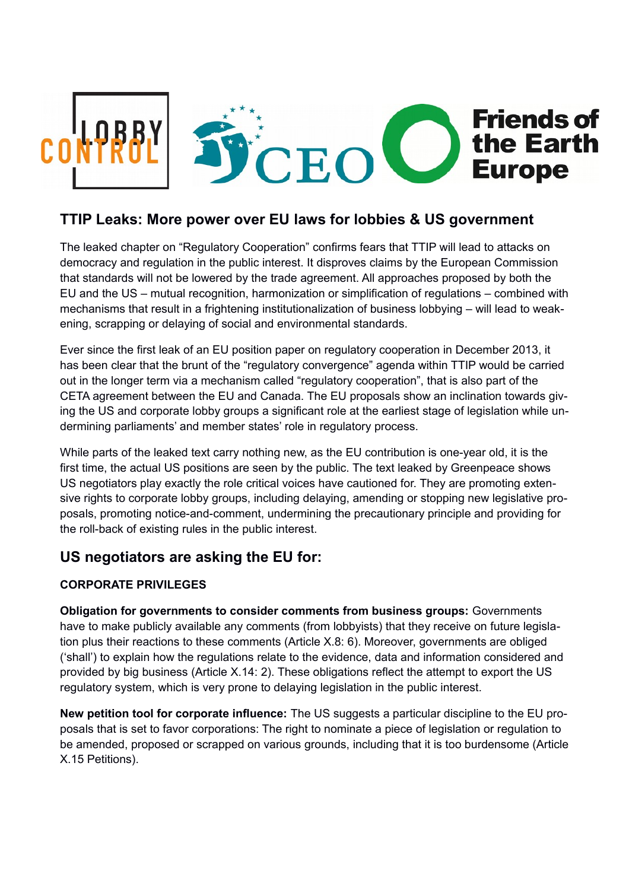

## **TTIP Leaks: More power over EU laws for lobbies & US government**

The leaked chapter on "Regulatory Cooperation" confirms fears that TTIP will lead to attacks on democracy and regulation in the public interest. It disproves claims by the European Commission that standards will not be lowered by the trade agreement. All approaches proposed by both the EU and the US – mutual recognition, harmonization or simplification of regulations – combined with mechanisms that result in a frightening institutionalization of business lobbying – will lead to weakening, scrapping or delaying of social and environmental standards.

Ever since the first leak of an EU position paper on regulatory cooperation in December 2013, it has been clear that the brunt of the "regulatory convergence" agenda within TTIP would be carried out in the longer term via a mechanism called "regulatory cooperation", that is also part of the CETA agreement between the EU and Canada. The EU proposals show an inclination towards giving the US and corporate lobby groups a significant role at the earliest stage of legislation while undermining parliaments' and member states' role in regulatory process.

While parts of the leaked text carry nothing new, as the EU contribution is one-year old, it is the first time, the actual US positions are seen by the public. The text leaked by Greenpeace shows US negotiators play exactly the role critical voices have cautioned for. They are promoting extensive rights to corporate lobby groups, including delaying, amending or stopping new legislative proposals, promoting notice-and-comment, undermining the precautionary principle and providing for the roll-back of existing rules in the public interest.

# **US negotiators are asking the EU for:**

### **CORPORATE PRIVILEGES**

**Obligation for governments to consider comments from business groups:** Governments have to make publicly available any comments (from lobbyists) that they receive on future legislation plus their reactions to these comments (Article X.8: 6). Moreover, governments are obliged ('shall') to explain how the regulations relate to the evidence, data and information considered and provided by big business (Article X.14: 2). These obligations reflect the attempt to export the US regulatory system, which is very prone to delaying legislation in the public interest.

**New petition tool for corporate influence:** The US suggests a particular discipline to the EU proposals that is set to favor corporations: The right to nominate a piece of legislation or regulation to be amended, proposed or scrapped on various grounds, including that it is too burdensome (Article X.15 Petitions).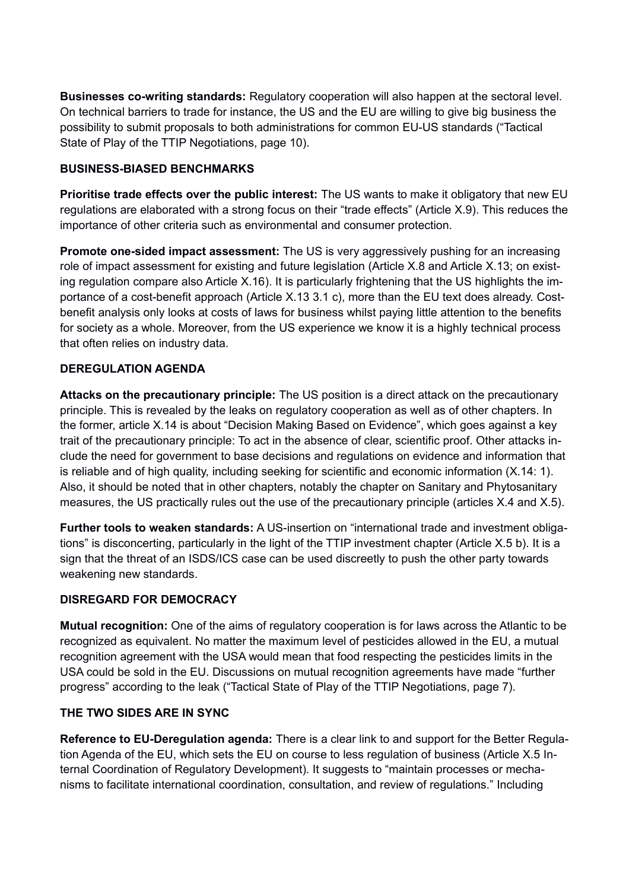**Businesses co-writing standards:** Regulatory cooperation will also happen at the sectoral level. On technical barriers to trade for instance, the US and the EU are willing to give big business the possibility to submit proposals to both administrations for common EU-US standards ("Tactical State of Play of the TTIP Negotiations, page 10).

#### **BUSINESS-BIASED BENCHMARKS**

**Prioritise trade effects over the public interest:** The US wants to make it obligatory that new EU regulations are elaborated with a strong focus on their "trade effects" (Article X.9). This reduces the importance of other criteria such as environmental and consumer protection.

**Promote one-sided impact assessment:** The US is very aggressively pushing for an increasing role of impact assessment for existing and future legislation (Article X.8 and Article X.13; on existing regulation compare also Article X.16). It is particularly frightening that the US highlights the importance of a cost-benefit approach (Article X.13 3.1 c), more than the EU text does already. Costbenefit analysis only looks at costs of laws for business whilst paying little attention to the benefits for society as a whole. Moreover, from the US experience we know it is a highly technical process that often relies on industry data.

#### **DEREGULATION AGENDA**

**Attacks on the precautionary principle:** The US position is a direct attack on the precautionary principle. This is revealed by the leaks on regulatory cooperation as well as of other chapters. In the former, article X.14 is about "Decision Making Based on Evidence", which goes against a key trait of the precautionary principle: To act in the absence of clear, scientific proof. Other attacks include the need for government to base decisions and regulations on evidence and information that is reliable and of high quality, including seeking for scientific and economic information (X.14: 1). Also, it should be noted that in other chapters, notably the chapter on Sanitary and Phytosanitary measures, the US practically rules out the use of the precautionary principle (articles X.4 and X.5).

**Further tools to weaken standards:** A US-insertion on "international trade and investment obligations" is disconcerting, particularly in the light of the TTIP investment chapter (Article X.5 b). It is a sign that the threat of an ISDS/ICS case can be used discreetly to push the other party towards weakening new standards.

#### **DISREGARD FOR DEMOCRACY**

**Mutual recognition:** One of the aims of regulatory cooperation is for laws across the Atlantic to be recognized as equivalent. No matter the maximum level of pesticides allowed in the EU, a mutual recognition agreement with the USA would mean that food respecting the pesticides limits in the USA could be sold in the EU. Discussions on mutual recognition agreements have made "further progress" according to the leak ("Tactical State of Play of the TTIP Negotiations, page 7).

#### **THE TWO SIDES ARE IN SYNC**

**Reference to EU-Deregulation agenda:** There is a clear link to and support for the Better Regulation Agenda of the EU, which sets the EU on course to less regulation of business (Article X.5 Internal Coordination of Regulatory Development). It suggests to "maintain processes or mechanisms to facilitate international coordination, consultation, and review of regulations." Including